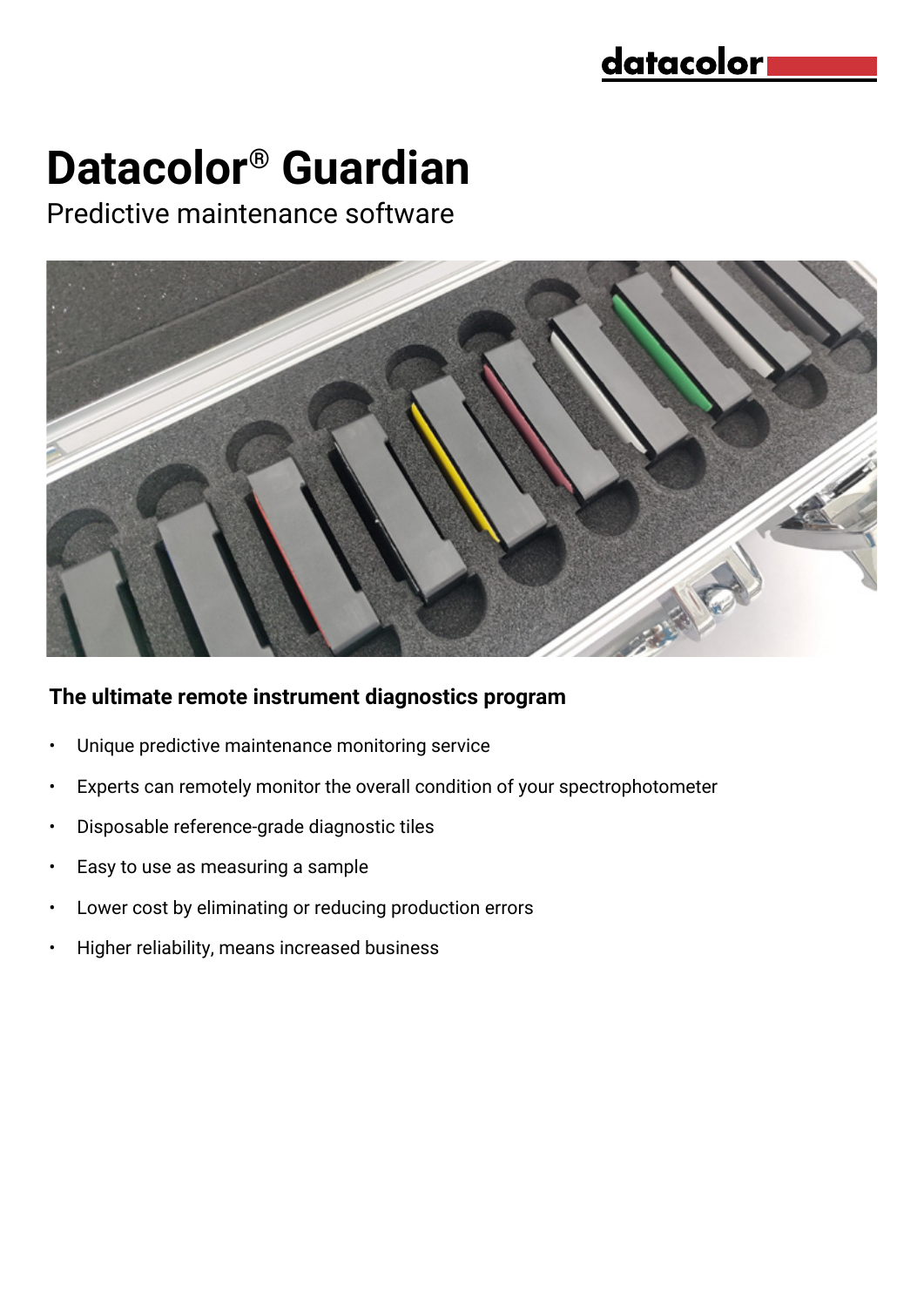## <u>datacolor</u>

# **Datacolor® Guardian**

Predictive maintenance software



#### **The ultimate remote instrument diagnostics program**

- Unique predictive maintenance monitoring service
- Experts can remotely monitor the overall condition of your spectrophotometer
- Disposable reference-grade diagnostic tiles
- Easy to use as measuring a sample
- Lower cost by eliminating or reducing production errors
- Higher reliability, means increased business